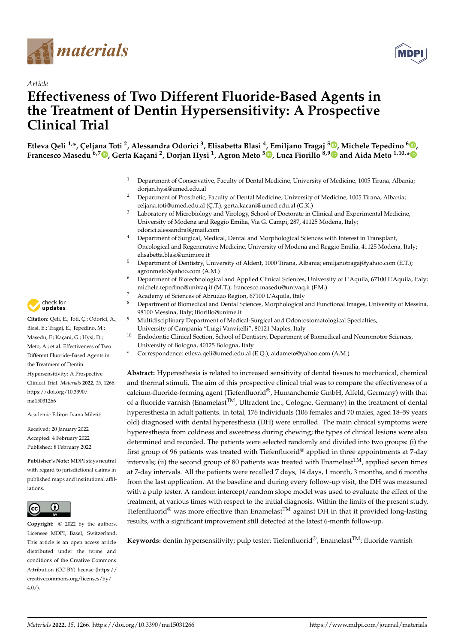



# *Article* **Effectiveness of Two Different Fluoride-Based Agents in the Treatment of Dentin Hypersensitivity: A Prospective Clinical Trial**

**Etleva Qeli 1,\*, Çeljana Toti <sup>2</sup> , Alessandra Odorici <sup>3</sup> , Elisabetta Blasi <sup>4</sup> , Emiljano Tragaj <sup>5</sup> [,](https://orcid.org/0000-0003-2332-6241) Michele Tepedino <sup>6</sup> [,](https://orcid.org/0000-0002-8646-9824) Francesco Masedu 6,7 [,](https://orcid.org/0000-0003-0290-5324) Gerta Kaçani <sup>2</sup> , Dorjan Hysi <sup>1</sup> , Agron Meto <sup>5</sup> [,](https://orcid.org/0000-0003-1659-2453) Luca Fiorillo 8,[9](https://orcid.org/0000-0003-0335-4165) and Aida Meto 1,10,[\\*](https://orcid.org/0000-0002-3354-2194)**

- <sup>1</sup> Department of Conservative, Faculty of Dental Medicine, University of Medicine, 1005 Tirana, Albania; dorjan.hysi@umed.edu.al
- <sup>2</sup> Department of Prosthetic, Faculty of Dental Medicine, University of Medicine, 1005 Tirana, Albania; celjana.toti@umed.edu.al (Ç.T.); gerta.kacani@umed.edu.al (G.K.)
- Laboratory of Microbiology and Virology, School of Doctorate in Clinical and Experimental Medicine, University of Modena and Reggio Emilia, Via G. Campi, 287, 41125 Modena, Italy; odorici.alessandra@gmail.com
- <sup>4</sup> Department of Surgical, Medical, Dental and Morphological Sciences with Interest in Transplant, Oncological and Regenerative Medicine, University of Modena and Reggio Emilia, 41125 Modena, Italy; elisabetta.blasi@unimore.it
- <sup>5</sup> Department of Dentistry, University of Aldent, 1000 Tirana, Albania; emiljanotragaj@yahoo.com (E.T.); agronmeto@yahoo.com (A.M.)
- <sup>6</sup> Department of Biotechnological and Applied Clinical Sciences, University of L'Aquila, 67100 L'Aquila, Italy; michele.tepedino@univaq.it (M.T.); francesco.masedu@univaq.it (F.M.)
- <sup>7</sup> Academy of Sciences of Abruzzo Region, 67100 L'Aquila, Italy
- <sup>8</sup> Department of Biomedical and Dental Sciences, Morphological and Functional Images, University of Messina, 98100 Messina, Italy; lfiorillo@unime.it
- Multidisciplinary Department of Medical-Surgical and Odontostomatological Specialties, University of Campania "Luigi Vanvitelli", 80121 Naples, Italy
- <sup>10</sup> Endodontic Clinical Section, School of Dentistry, Department of Biomedical and Neuromotor Sciences, University of Bologna, 40125 Bologna, Italy
- **\*** Correspondence: etleva.qeli@umed.edu.al (E.Q.); aidameto@yahoo.com (A.M.)

**Abstract:** Hyperesthesia is related to increased sensitivity of dental tissues to mechanical, chemical and thermal stimuli. The aim of this prospective clinical trial was to compare the effectiveness of a calcium-fluoride-forming agent (Tiefenfluorid®, Humanchemie GmbH, Alfeld, Germany) with that of a fluoride varnish (Enamelast<sup>TM</sup>, Ultradent Inc., Cologne, Germany) in the treatment of dental hyperesthesia in adult patients. In total, 176 individuals (106 females and 70 males, aged 18–59 years old) diagnosed with dental hyperesthesia (DH) were enrolled. The main clinical symptoms were hyperesthesia from coldness and sweetness during chewing; the types of clinical lesions were also determined and recorded. The patients were selected randomly and divided into two groups: (i) the first group of 96 patients was treated with Tiefenfluorid® applied in three appointments at 7-day intervals; (ii) the second group of 80 patients was treated with Enamelast<sup>TM</sup>, applied seven times at 7-day intervals. All the patients were recalled 7 days, 14 days, 1 month, 3 months, and 6 months from the last application. At the baseline and during every follow-up visit, the DH was measured with a pulp tester. A random intercept/random slope model was used to evaluate the effect of the treatment, at various times with respect to the initial diagnosis. Within the limits of the present study, Tiefenfluorid<sup>®</sup> was more effective than Enamelast<sup>TM</sup> against DH in that it provided long-lasting results, with a significant improvement still detected at the latest 6-month follow-up.

**Keywords:** dentin hypersensitivity; pulp tester; Tiefenfluorid<sup>®</sup>; Enamelast<sup>TM</sup>; fluoride varnish



**Citation:** Qeli, E.; Toti, Ç.; Odorici, A.; Blasi, E.; Tragaj, E.; Tepedino, M.; Masedu, F.; Kaçani, G.; Hysi, D.; Meto, A.; et al. Effectiveness of Two Different Fluoride-Based Agents in the Treatment of Dentin Hypersensitivity: A Prospective Clinical Trial. *Materials* **2022**, *15*, 1266. [https://doi.org/10.3390/](https://doi.org/10.3390/ma15031266) [ma15031266](https://doi.org/10.3390/ma15031266)

Academic Editor: Ivana Miletić

Received: 20 January 2022 Accepted: 4 February 2022 Published: 8 February 2022

**Publisher's Note:** MDPI stays neutral with regard to jurisdictional claims in published maps and institutional affiliations.



**Copyright:** © 2022 by the authors. Licensee MDPI, Basel, Switzerland. This article is an open access article distributed under the terms and conditions of the Creative Commons Attribution (CC BY) license [\(https://](https://creativecommons.org/licenses/by/4.0/) [creativecommons.org/licenses/by/](https://creativecommons.org/licenses/by/4.0/)  $4.0/$ ).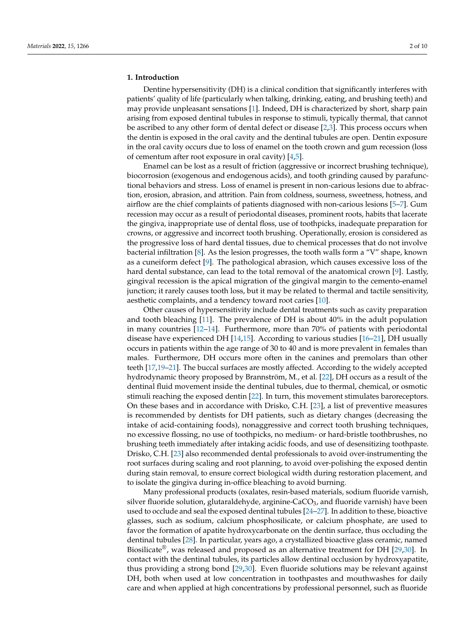### **1. Introduction**

Dentine hypersensitivity (DH) is a clinical condition that significantly interferes with patients' quality of life (particularly when talking, drinking, eating, and brushing teeth) and may provide unpleasant sensations [\[1\]](#page-7-0). Indeed, DH is characterized by short, sharp pain arising from exposed dentinal tubules in response to stimuli, typically thermal, that cannot be ascribed to any other form of dental defect or disease [\[2,](#page-7-1)[3\]](#page-7-2). This process occurs when the dentin is exposed in the oral cavity and the dentinal tubules are open. Dentin exposure in the oral cavity occurs due to loss of enamel on the tooth crown and gum recession (loss of cementum after root exposure in oral cavity) [\[4](#page-7-3)[,5\]](#page-7-4).

Enamel can be lost as a result of friction (aggressive or incorrect brushing technique), biocorrosion (exogenous and endogenous acids), and tooth grinding caused by parafunctional behaviors and stress. Loss of enamel is present in non-carious lesions due to abfraction, erosion, abrasion, and attrition. Pain from coldness, sourness, sweetness, hotness, and airflow are the chief complaints of patients diagnosed with non-carious lesions [\[5–](#page-7-4)[7\]](#page-7-5). Gum recession may occur as a result of periodontal diseases, prominent roots, habits that lacerate the gingiva, inappropriate use of dental floss, use of toothpicks, inadequate preparation for crowns, or aggressive and incorrect tooth brushing. Operationally, erosion is considered as the progressive loss of hard dental tissues, due to chemical processes that do not involve bacterial infiltration [\[8\]](#page-7-6). As the lesion progresses, the tooth walls form a "V" shape, known as a cuneiform defect [\[9\]](#page-7-7). The pathological abrasion, which causes excessive loss of the hard dental substance, can lead to the total removal of the anatomical crown [\[9\]](#page-7-7). Lastly, gingival recession is the apical migration of the gingival margin to the cemento-enamel junction; it rarely causes tooth loss, but it may be related to thermal and tactile sensitivity, aesthetic complaints, and a tendency toward root caries [\[10\]](#page-8-0).

Other causes of hypersensitivity include dental treatments such as cavity preparation and tooth bleaching [\[11\]](#page-8-1). The prevalence of DH is about 40% in the adult population in many countries [\[12–](#page-8-2)[14\]](#page-8-3). Furthermore, more than 70% of patients with periodontal disease have experienced DH [\[14,](#page-8-3)[15\]](#page-8-4). According to various studies [\[16–](#page-8-5)[21\]](#page-8-6), DH usually occurs in patients within the age range of 30 to 40 and is more prevalent in females than males. Furthermore, DH occurs more often in the canines and premolars than other teeth [\[17,](#page-8-7)[19–](#page-8-8)[21\]](#page-8-6). The buccal surfaces are mostly affected. According to the widely accepted hydrodynamic theory proposed by Brannström, M., et al. [\[22\]](#page-8-9), DH occurs as a result of the dentinal fluid movement inside the dentinal tubules, due to thermal, chemical, or osmotic stimuli reaching the exposed dentin [\[22\]](#page-8-9). In turn, this movement stimulates baroreceptors. On these bases and in accordance with Drisko, C.H. [\[23\]](#page-8-10), a list of preventive measures is recommended by dentists for DH patients, such as dietary changes (decreasing the intake of acid-containing foods), nonaggressive and correct tooth brushing techniques, no excessive flossing, no use of toothpicks, no medium- or hard-bristle toothbrushes, no brushing teeth immediately after intaking acidic foods, and use of desensitizing toothpaste. Drisko, C.H. [\[23\]](#page-8-10) also recommended dental professionals to avoid over-instrumenting the root surfaces during scaling and root planning, to avoid over-polishing the exposed dentin during stain removal, to ensure correct biological width during restoration placement, and to isolate the gingiva during in-office bleaching to avoid burning.

Many professional products (oxalates, resin-based materials, sodium fluoride varnish, silver fluoride solution, glutaraldehyde, arginine-CaCO $_3$ , and fluoride varnish) have been used to occlude and seal the exposed dentinal tubules [\[24–](#page-8-11)[27\]](#page-8-12). In addition to these, bioactive glasses, such as sodium, calcium phosphosilicate, or calcium phosphate, are used to favor the formation of apatite hydroxycarbonate on the dentin surface, thus occluding the dentinal tubules [\[28\]](#page-8-13). In particular, years ago, a crystallized bioactive glass ceramic, named Biosilicate<sup>®</sup>, was released and proposed as an alternative treatment for DH [\[29,](#page-8-14)[30\]](#page-8-15). In contact with the dentinal tubules, its particles allow dentinal occlusion by hydroxyapatite, thus providing a strong bond [\[29](#page-8-14)[,30\]](#page-8-15). Even fluoride solutions may be relevant against DH, both when used at low concentration in toothpastes and mouthwashes for daily care and when applied at high concentrations by professional personnel, such as fluoride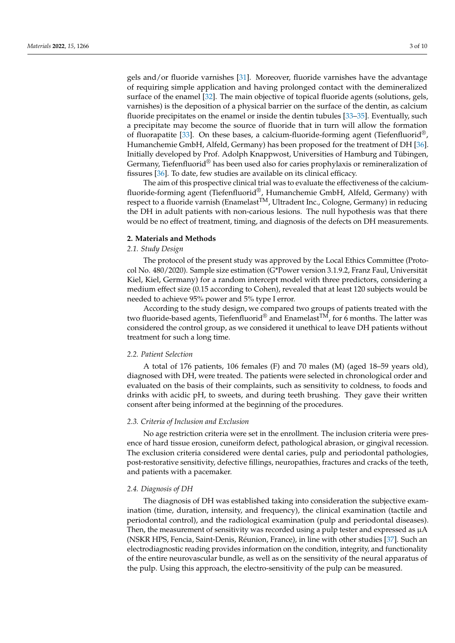gels and/or fluoride varnishes [\[31\]](#page-8-16). Moreover, fluoride varnishes have the advantage of requiring simple application and having prolonged contact with the demineralized surface of the enamel [\[32\]](#page-8-17). The main objective of topical fluoride agents (solutions, gels, varnishes) is the deposition of a physical barrier on the surface of the dentin, as calcium fluoride precipitates on the enamel or inside the dentin tubules [\[33](#page-8-18)[–35\]](#page-8-19). Eventually, such a precipitate may become the source of fluoride that in turn will allow the formation of fluorapatite [\[33\]](#page-8-18). On these bases, a calcium-fluoride-forming agent (Tiefenfluorid<sup>®</sup>, Humanchemie GmbH, Alfeld, Germany) has been proposed for the treatment of DH [\[36\]](#page-8-20). Initially developed by Prof. Adolph Knappwost, Universities of Hamburg and Tübingen, Germany, Tiefenfluorid<sup>®</sup> has been used also for caries prophylaxis or remineralization of fissures [\[36\]](#page-8-20). To date, few studies are available on its clinical efficacy.

The aim of this prospective clinical trial was to evaluate the effectiveness of the calciumfluoride-forming agent (Tiefenfluorid®, Humanchemie GmbH, Alfeld, Germany) with respect to a fluoride varnish (Enamelast<sup>TM</sup>, Ultradent Inc., Cologne, Germany) in reducing the DH in adult patients with non-carious lesions. The null hypothesis was that there would be no effect of treatment, timing, and diagnosis of the defects on DH measurements.

### **2. Materials and Methods**

# *2.1. Study Design*

The protocol of the present study was approved by the Local Ethics Committee (Protocol No. 480/2020). Sample size estimation (G\*Power version 3.1.9.2, Franz Faul, Universität Kiel, Kiel, Germany) for a random intercept model with three predictors, considering a medium effect size (0.15 according to Cohen), revealed that at least 120 subjects would be needed to achieve 95% power and 5% type I error.

According to the study design, we compared two groups of patients treated with the two fluoride-based agents, Tiefenfluorid<sup>®</sup> and Enamelast<sup>TM</sup>, for 6 months. The latter was considered the control group, as we considered it unethical to leave DH patients without treatment for such a long time.

### *2.2. Patient Selection*

A total of 176 patients, 106 females (F) and 70 males (M) (aged 18–59 years old), diagnosed with DH, were treated. The patients were selected in chronological order and evaluated on the basis of their complaints, such as sensitivity to coldness, to foods and drinks with acidic pH, to sweets, and during teeth brushing. They gave their written consent after being informed at the beginning of the procedures.

## *2.3. Criteria of Inclusion and Exclusion*

No age restriction criteria were set in the enrollment. The inclusion criteria were presence of hard tissue erosion, cuneiform defect, pathological abrasion, or gingival recession. The exclusion criteria considered were dental caries, pulp and periodontal pathologies, post-restorative sensitivity, defective fillings, neuropathies, fractures and cracks of the teeth, and patients with a pacemaker.

### *2.4. Diagnosis of DH*

The diagnosis of DH was established taking into consideration the subjective examination (time, duration, intensity, and frequency), the clinical examination (tactile and periodontal control), and the radiological examination (pulp and periodontal diseases). Then, the measurement of sensitivity was recorded using a pulp tester and expressed as  $\mu A$ (NSKR HPS, Fencia, Saint-Denis, Réunion, France), in line with other studies [\[37\]](#page-8-21). Such an electrodiagnostic reading provides information on the condition, integrity, and functionality of the entire neurovascular bundle, as well as on the sensitivity of the neural apparatus of the pulp. Using this approach, the electro-sensitivity of the pulp can be measured.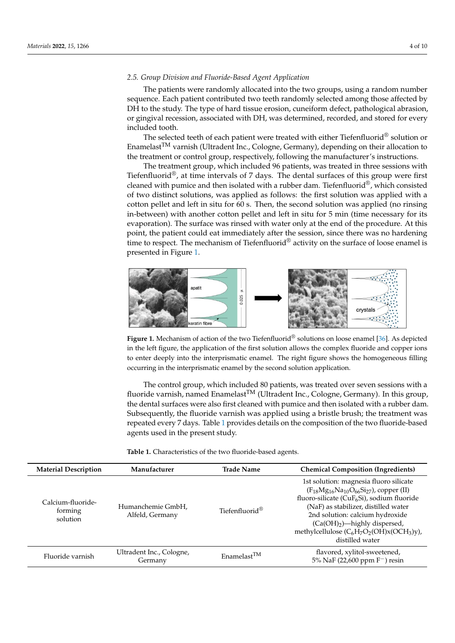# *2.5. Group Division and Fluoride-Based Agent Application 2.5. Group Division and Fluoride-Based Agent Application*

The patients were randomly allocated into the two groups, using a random number The patients were randomly allocated into the two groups, using a random number sequence. Each patient contributed two teeth randomly selected among those affected by DH to the study. The type of hard tissue erosion, cuneiform defect, pathological abrasion, or gingival recession, associated with DH, was determined, recorded, and stored for every or gingival recession, associated with DH, was determined, recorded, and stored for every included tooth. included tooth.

The selected teeth of each patient were treated with either Tiefenfluorid $^{\circledR}$  solution or Enamelast $^{TM}$  varnish (Ultradent Inc., Cologne, Germany), depending on their allocation to the treatment or control group, respectively, following the manufacturer's instructions.

The treatment group, which included 96 patients, was treated in three sessions with The treatment group, which included 96 patients, was treated in three sessions with Tiefenfluorid®, at time intervals of 7 days. The dental surfaces of this group were first cleaned with pumice and then isolated with a rubber dam. Tiefenfluorid®, which consisted of two distinct solutions, was applied as follows: the first solution was applied with a cotton pellet and left in situ for 60 s. Then, the second solution was applied (no rinsing cotton pellet and left in situ for 60 s. Then, the second solution was applied (no rinsing inin-between) with another cotton pellet and left in situ for  $5$  min (time necessary for its evaporation). The surface was rinsed with water only at the end of the procedure. At this point, the patient could eat immediately after the session, since there was no hardening time to respect. The mechanism of Tiefenfluorid $^{\circledR}$  activity on the surface of loose enamel is presented in Figure [1.](#page-3-0) sented in Figure 1.

<span id="page-3-0"></span>

**Figure 1.** Mechanism of action of the two Tiefenfluorid® solutions on loose enamel [36]. As depicted in the left figure, the application of the first solution allows the complex fluoride and copper ions to enter deeply into the interprismatic enamel. The right figure shows the homogeneous filling ring in the interprismatic enamel by the second solution application. occurring in the interprismatic enamel by the second solution application. Figure 1. Mechanism of action of the two Tiefenfluorid<sup>®</sup> solutions on loose enamel [\[36\]](#page-8-20). As depicted

The control group, which included 80 patients, was treated over seven sessions with a fluoride varnish, named Enamelast<sup>TM</sup> (Ultradent Inc., Cologne, Germany). In this group, the dental surfaces were also first cleaned with pumice and then isolated with a rubber dam. Subsequently, the fluoride varnish was applied using a bristle brush; the treatment was repeated every 7 days. Table [1](#page-3-1) provides details on the composition of the two fluoride-based agents used in the present study.

<span id="page-3-1"></span>**Table 1.** Characteristics of the two fluoride-based agents. **Table 1.** Characteristics of the two fluoride-based agents.

| <b>Material Description</b>              | Manufacturer                         | <b>Trade Name</b>          | <b>Chemical Composition (Ingredients)</b>                                                                                                                                                                                                                                                                                      |
|------------------------------------------|--------------------------------------|----------------------------|--------------------------------------------------------------------------------------------------------------------------------------------------------------------------------------------------------------------------------------------------------------------------------------------------------------------------------|
| Calcium-fluoride-<br>forming<br>solution | Humanchemie GmbH,<br>Alfeld, Germany | Tiefenfluorid <sup>®</sup> | 1st solution: magnesia fluoro silicate<br>$(F_{18}Mg_{16}Na_{10}O_{66}Si_{27})$ , copper (II)<br>fluoro-silicate ( $CuF6Si$ ), sodium fluoride<br>(NaF) as stabilizer, distilled water<br>2nd solution: calcium hydroxide<br>$(Ca(OH)2)$ —highly dispersed,<br>methylcellulose $(C_6H_7O_2(OH)x(OCH_3)y)$ ,<br>distilled water |
| Fluoride varnish                         | Ultradent Inc., Cologne,<br>Germany  | Enamelast <sup>TM</sup>    | flavored, xylitol-sweetened,<br>5% NaF (22,600 ppm $F^-$ ) resin                                                                                                                                                                                                                                                               |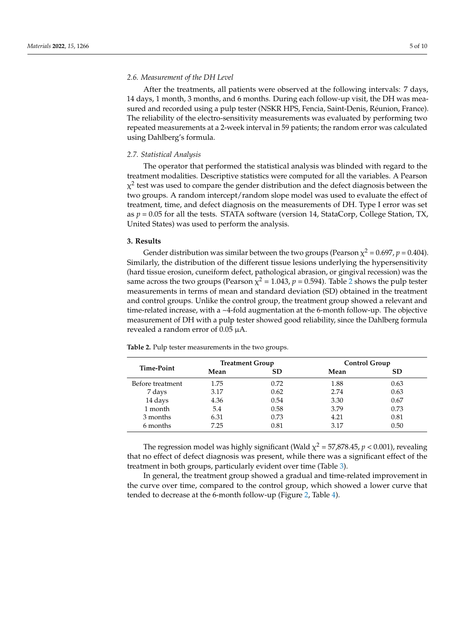## *2.6. Measurement of the DH Level*

After the treatments, all patients were observed at the following intervals: 7 days, 14 days, 1 month, 3 months, and 6 months. During each follow-up visit, the DH was measured and recorded using a pulp tester (NSKR HPS, Fencia, Saint-Denis, Réunion, France). The reliability of the electro-sensitivity measurements was evaluated by performing two repeated measurements at a 2-week interval in 59 patients; the random error was calculated using Dahlberg's formula.

## *2.7. Statistical Analysis*

The operator that performed the statistical analysis was blinded with regard to the treatment modalities. Descriptive statistics were computed for all the variables. A Pearson  $\chi^2$  test was used to compare the gender distribution and the defect diagnosis between the two groups. A random intercept/random slope model was used to evaluate the effect of treatment, time, and defect diagnosis on the measurements of DH. Type I error was set as *p* = 0.05 for all the tests. STATA software (version 14, StataCorp, College Station, TX, United States) was used to perform the analysis.

### **3. Results**

Gender distribution was similar between the two groups (Pearson  $\chi^2$  = 0.697, *p* = 0.404). Similarly, the distribution of the different tissue lesions underlying the hypersensitivity (hard tissue erosion, cuneiform defect, pathological abrasion, or gingival recession) was the same across the two groups (Pearson  $\chi^2$  $\chi^2$  = 1.043*, p* = 0.594). Table 2 shows the pulp tester measurements in terms of mean and standard deviation (SD) obtained in the treatment and control groups. Unlike the control group, the treatment group showed a relevant and time-related increase, with a ~4-fold augmentation at the 6-month follow-up. The objective measurement of DH with a pulp tester showed good reliability, since the Dahlberg formula revealed a random error of 0.05 µA.

| Time-Point       | <b>Treatment Group</b> |           | <b>Control Group</b> |           |  |
|------------------|------------------------|-----------|----------------------|-----------|--|
|                  | Mean                   | <b>SD</b> | Mean                 | <b>SD</b> |  |
| Before treatment | 1.75                   | 0.72      | 1.88                 | 0.63      |  |
| 7 days           | 3.17                   | 0.62      | 2.74                 | 0.63      |  |
| 14 days          | 4.36                   | 0.54      | 3.30                 | 0.67      |  |
| 1 month          | 5.4                    | 0.58      | 3.79                 | 0.73      |  |
| 3 months         | 6.31                   | 0.73      | 4.21                 | 0.81      |  |
| 6 months         | 7.25                   | 0.81      | 3.17                 | 0.50      |  |

<span id="page-4-0"></span>**Table 2.** Pulp tester measurements in the two groups.

The regression model was highly significant (Wald  $\chi^2$  = 57,878.45, *p* < 0.001), revealing that no effect of defect diagnosis was present, while there was a significant effect of the treatment in both groups, particularly evident over time (Table [3\)](#page-5-0).

In general, the treatment group showed a gradual and time-related improvement in the curve over time, compared to the control group, which showed a lower curve that tended to decrease at the 6-month follow-up (Figure [2,](#page-5-1) Table [4\)](#page-5-2).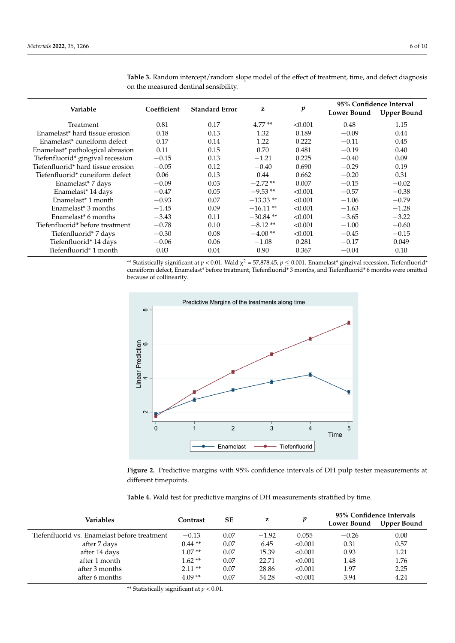| Variable                           | Coefficient | <b>Standard Error</b> | z           | p       | <b>Lower Bound</b> | 95% Confidence Interval<br><b>Upper Bound</b> |
|------------------------------------|-------------|-----------------------|-------------|---------|--------------------|-----------------------------------------------|
| Treatment                          | 0.81        | 0.17                  | $4.77**$    | < 0.001 | 0.48               | 1.15                                          |
| Enamelast* hard tissue erosion     | 0.18        | 0.13                  | 1.32        | 0.189   | $-0.09$            | 0.44                                          |
| Enamelast* cuneiform defect        | 0.17        | 0.14                  | 1.22        | 0.222   | $-0.11$            | 0.45                                          |
| Enamelast* pathological abrasion   | 0.11        | 0.15                  | 0.70        | 0.481   | $-0.19$            | 0.40                                          |
| Tiefenfluorid* gingival recession  | $-0.15$     | 0.13                  | $-1.21$     | 0.225   | $-0.40$            | 0.09                                          |
| Tiefenfluorid* hard tissue erosion | $-0.05$     | 0.12                  | $-0.40$     | 0.690   | $-0.29$            | 0.19                                          |
| Tiefenfluorid* cuneiform defect    | 0.06        | 0.13                  | 0.44        | 0.662   | $-0.20$            | 0.31                                          |
| Enamelast* 7 days                  | $-0.09$     | 0.03                  | $-2.72**$   | 0.007   | $-0.15$            | $-0.02$                                       |
| Enamelast* 14 days                 | $-0.47$     | 0.05                  | $-9.53**$   | < 0.001 | $-0.57$            | $-0.38$                                       |
| Enamelast <sup>*</sup> 1 month     | $-0.93$     | 0.07                  | $-13.33**$  | < 0.001 | $-1.06$            | $-0.79$                                       |
| Enamelast <sup>*</sup> 3 months    | $-1.45$     | 0.09                  | $-16.11**$  | < 0.001 | $-1.63$            | $-1.28$                                       |
| Enamelast <sup>*</sup> 6 months    | $-3.43$     | 0.11                  | $-30.84$ ** | < 0.001 | $-3.65$            | $-3.22$                                       |
| Tiefenfluorid* before treatment    | $-0.78$     | 0.10                  | $-8.12**$   | < 0.001 | $-1.00$            | $-0.60$                                       |
| Tiefenfluorid* 7 days              | $-0.30$     | 0.08                  | $-4.00**$   | < 0.001 | $-0.45$            | $-0.15$                                       |
| Tiefenfluorid* 14 days             | $-0.06$     | 0.06                  | $-1.08$     | 0.281   | $-0.17$            | 0.049                                         |
| Tiefenfluorid* 1 month             | 0.03        | 0.04                  | 0.90        | 0.367   | $-0.04$            | 0.10                                          |

<span id="page-5-0"></span>**Table 3.** Random intercept/random slope model of the effect of treatment, time, and defect diagnosis on the measured dentinal sensibility.

> \*\* Statistically significant at  $p < 0.01$ . Wald  $\chi^2 = 57,878.45$ ,  $p \le 0.001$ . Enamelast\* gingival recession, Tiefenfluorid\* cuneiform defect, Enamelast\* before treatment, Tiefenfluorid\* 3 months, and Tiefenfluorid\* 6 months were omitted because of collinearity.

<span id="page-5-1"></span>

Figure 2. Predictive margins with 95% confidence intervals of DH pulp tester measurements at ferent timepoints. different timepoints.

<span id="page-5-2"></span>

|  | Table 4. Wald test for predictive margins of DH measurements stratified by time. |
|--|----------------------------------------------------------------------------------|

| Variables                                    | Contrast | SЕ   | z       | p       | Lower Bound | 95% Confidence Intervals<br><b>Upper Bound</b> |
|----------------------------------------------|----------|------|---------|---------|-------------|------------------------------------------------|
| Tiefenfluorid vs. Enamelast before treatment | $-0.13$  | 0.07 | $-1.92$ | 0.055   | $-0.26$     | 0.00                                           |
| after 7 days                                 | $0.44**$ | 0.07 | 6.45    | < 0.001 | 0.31        | 0.57                                           |
| after 14 days                                | $1.07**$ | 0.07 | 15.39   | < 0.001 | 0.93        | 1.21                                           |
| after 1 month                                | $1.62**$ | 0.07 | 22.71   | < 0.001 | 1.48        | 1.76                                           |
| after 3 months                               | $2.11**$ | 0.07 | 28.86   | < 0.001 | 1.97        | 2.25                                           |
| after 6 months                               | $4.09**$ | 0.07 | 54.28   | < 0.001 | 3.94        | 4.24                                           |

\*\* Statistically significant at  $p < 0.01$ .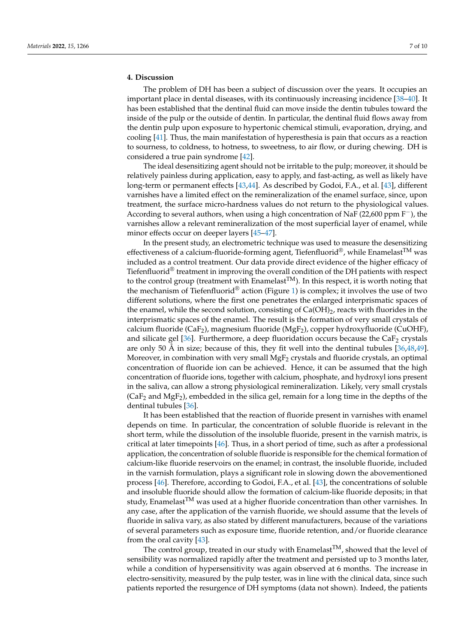# **4. Discussion**

The problem of DH has been a subject of discussion over the years. It occupies an important place in dental diseases, with its continuously increasing incidence [\[38](#page-8-22)[–40\]](#page-8-23). It has been established that the dentinal fluid can move inside the dentin tubules toward the inside of the pulp or the outside of dentin. In particular, the dentinal fluid flows away from the dentin pulp upon exposure to hypertonic chemical stimuli, evaporation, drying, and cooling [\[41\]](#page-8-24). Thus, the main manifestation of hyperesthesia is pain that occurs as a reaction to sourness, to coldness, to hotness, to sweetness, to air flow, or during chewing. DH is considered a true pain syndrome [\[42\]](#page-9-0).

The ideal desensitizing agent should not be irritable to the pulp; moreover, it should be relatively painless during application, easy to apply, and fast-acting, as well as likely have long-term or permanent effects [\[43](#page-9-1)[,44\]](#page-9-2). As described by Godoi, F.A., et al. [\[43\]](#page-9-1), different varnishes have a limited effect on the remineralization of the enamel surface, since, upon treatment, the surface micro-hardness values do not return to the physiological values. According to several authors, when using a high concentration of NaF (22,600 ppm F−), the varnishes allow a relevant remineralization of the most superficial layer of enamel, while minor effects occur on deeper layers [\[45–](#page-9-3)[47\]](#page-9-4).

In the present study, an electrometric technique was used to measure the desensitizing effectiveness of a calcium-fluoride-forming agent, Tiefenfluorid®, while Enamelast<sup>TM</sup> was included as a control treatment. Our data provide direct evidence of the higher efficacy of Tiefenfluorid<sup>®</sup> treatment in improving the overall condition of the DH patients with respect to the control group (treatment with Enamelast<sup>TM</sup>). In this respect, it is worth noting that the mechanism of Tiefenfluorid<sup>®</sup> action (Figure [1\)](#page-3-0) is complex; it involves the use of two different solutions, where the first one penetrates the enlarged interprismatic spaces of the enamel, while the second solution, consisting of  $Ca(OH)_2$ , reacts with fluorides in the interprismatic spaces of the enamel. The result is the formation of very small crystals of calcium fluoride (CaF<sub>2</sub>), magnesium fluoride (MgF<sub>2</sub>), copper hydroxyfluoride (CuOHF), and silicate gel  $[36]$ . Furthermore, a deep fluoridation occurs because the CaF<sub>2</sub> crystals are only 50 Å in size; because of this, they fit well into the dentinal tubules [\[36,](#page-8-20)[48,](#page-9-5)[49\]](#page-9-6). Moreover, in combination with very small  $MgF<sub>2</sub>$  crystals and fluoride crystals, an optimal concentration of fluoride ion can be achieved. Hence, it can be assumed that the high concentration of fluoride ions, together with calcium, phosphate, and hydroxyl ions present in the saliva, can allow a strong physiological remineralization. Likely, very small crystals  $(CaF<sub>2</sub>$  and  $MgF<sub>2</sub>$ ), embedded in the silica gel, remain for a long time in the depths of the dentinal tubules [\[36\]](#page-8-20).

It has been established that the reaction of fluoride present in varnishes with enamel depends on time. In particular, the concentration of soluble fluoride is relevant in the short term, while the dissolution of the insoluble fluoride, present in the varnish matrix, is critical at later timepoints [\[46\]](#page-9-7). Thus, in a short period of time, such as after a professional application, the concentration of soluble fluoride is responsible for the chemical formation of calcium-like fluoride reservoirs on the enamel; in contrast, the insoluble fluoride, included in the varnish formulation, plays a significant role in slowing down the abovementioned process [\[46\]](#page-9-7). Therefore, according to Godoi, F.A., et al. [\[43\]](#page-9-1), the concentrations of soluble and insoluble fluoride should allow the formation of calcium-like fluoride deposits; in that study, Enamelast<sup>TM</sup> was used at a higher fluoride concentration than other varnishes. In any case, after the application of the varnish fluoride, we should assume that the levels of fluoride in saliva vary, as also stated by different manufacturers, because of the variations of several parameters such as exposure time, fluoride retention, and/or fluoride clearance from the oral cavity [\[43\]](#page-9-1).

The control group, treated in our study with Enamelast<sup>TM</sup>, showed that the level of sensibility was normalized rapidly after the treatment and persisted up to 3 months later, while a condition of hypersensitivity was again observed at 6 months. The increase in electro-sensitivity, measured by the pulp tester, was in line with the clinical data, since such patients reported the resurgence of DH symptoms (data not shown). Indeed, the patients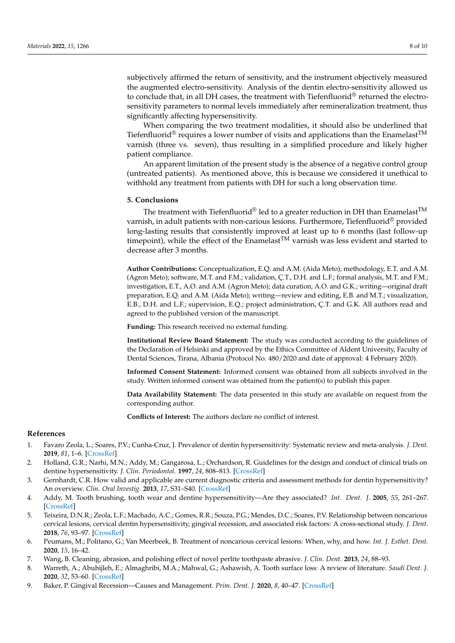subjectively affirmed the return of sensitivity, and the instrument objectively measured the augmented electro-sensitivity. Analysis of the dentin electro-sensitivity allowed us to conclude that, in all DH cases, the treatment with Tiefenfluorid $^{\circledR}$  returned the electrosensitivity parameters to normal levels immediately after remineralization treatment, thus significantly affecting hypersensitivity.

When comparing the two treatment modalities, it should also be underlined that Tiefenfluorid<sup>®</sup> requires a lower number of visits and applications than the Enamelast<sup>TM</sup> varnish (three vs. seven), thus resulting in a simplified procedure and likely higher patient compliance.

An apparent limitation of the present study is the absence of a negative control group (untreated patients). As mentioned above, this is because we considered it unethical to withhold any treatment from patients with DH for such a long observation time.

# **5. Conclusions**

The treatment with Tiefenfluorid<sup>®</sup> led to a greater reduction in DH than Enamelast<sup>TM</sup> varnish, in adult patients with non-carious lesions. Furthermore, Tiefenfluorid® provided long-lasting results that consistently improved at least up to 6 months (last follow-up timepoint), while the effect of the Enamelast<sup>TM</sup> varnish was less evident and started to decrease after 3 months.

**Author Contributions:** Conceptualization, E.Q. and A.M. (Aida Meto); methodology, E.T. and A.M. (Agron Meto); software, M.T. and F.M.; validation, Ç.T., D.H. and L.F.; formal analysis, M.T. and F.M.; investigation, E.T., A.O. and A.M. (Agron Meto); data curation, A.O. and G.K.; writing—original draft preparation, E.Q. and A.M. (Aida Meto); writing—review and editing, E.B. and M.T.; visualization, E.B., D.H. and L.F.; supervision, E.Q.; project administration, Ç.T. and G.K. All authors read and agreed to the published version of the manuscript.

**Funding:** This research received no external funding.

**Institutional Review Board Statement:** The study was conducted according to the guidelines of the Declaration of Helsinki and approved by the Ethics Committee of Aldent University, Faculty of Dental Sciences, Tirana, Albania (Protocol No. 480/2020 and date of approval: 4 February 2020).

**Informed Consent Statement:** Informed consent was obtained from all subjects involved in the study. Written informed consent was obtained from the patient(s) to publish this paper.

**Data Availability Statement:** The data presented in this study are available on request from the corresponding author.

**Conflicts of Interest:** The authors declare no conflict of interest.

### **References**

- <span id="page-7-0"></span>1. Favaro Zeola, L.; Soares, P.V.; Cunha-Cruz, J. Prevalence of dentin hypersensitivity: Systematic review and meta-analysis. *J. Dent.* **2019**, *81*, 1–6. [\[CrossRef\]](http://doi.org/10.1016/j.jdent.2018.12.015)
- <span id="page-7-1"></span>2. Holland, G.R.; Narhi, M.N.; Addy, M.; Gangarosa, L.; Orchardson, R. Guidelines for the design and conduct of clinical trials on dentine hypersensitivity. *J. Clin. Periodontol.* **1997**, *24*, 808–813. [\[CrossRef\]](http://doi.org/10.1111/j.1600-051X.1997.tb01194.x)
- <span id="page-7-2"></span>3. Gernhardt, C.R. How valid and applicable are current diagnostic criteria and assessment methods for dentin hypersensitivity? An overview. *Clin. Oral Investig.* **2013**, *17*, S31–S40. [\[CrossRef\]](http://doi.org/10.1007/s00784-012-0891-1)
- <span id="page-7-3"></span>4. Addy, M. Tooth brushing, tooth wear and dentine hypersensitivity—Are they associated? *Int. Dent. J.* **2005**, *55*, 261–267. [\[CrossRef\]](http://doi.org/10.1111/j.1875-595X.2005.tb00063.x)
- <span id="page-7-4"></span>5. Teixeira, D.N.R.; Zeola, L.F.; Machado, A.C.; Gomes, R.R.; Souza, P.G.; Mendes, D.C.; Soares, P.V. Relationship between noncarious cervical lesions, cervical dentin hypersensitivity, gingival recession, and associated risk factors: A cross-sectional study. *J. Dent.* **2018**, *76*, 93–97. [\[CrossRef\]](http://doi.org/10.1016/j.jdent.2018.06.017)
- 6. Peumans, M.; Politano, G.; Van Meerbeek, B. Treatment of noncarious cervical lesions: When, why, and how. *Int. J. Esthet. Dent.* **2020**, *15*, 16–42.
- <span id="page-7-5"></span>7. Wang, B. Cleaning, abrasion, and polishing effect of novel perlite toothpaste abrasive. *J. Clin. Dent.* **2013**, *24*, 88–93.
- <span id="page-7-6"></span>8. Warreth, A.; Abuhijleh, E.; Almaghribi, M.A.; Mahwal, G.; Ashawish, A. Tooth surface loss: A review of literature. *Saudi Dent. J.* **2020**, *32*, 53–60. [\[CrossRef\]](http://doi.org/10.1016/j.sdentj.2019.09.004)
- <span id="page-7-7"></span>9. Baker, P. Gingival Recession—Causes and Management. *Prim. Dent. J.* **2020**, *8*, 40–47. [\[CrossRef\]](http://doi.org/10.1308/205016820828463843)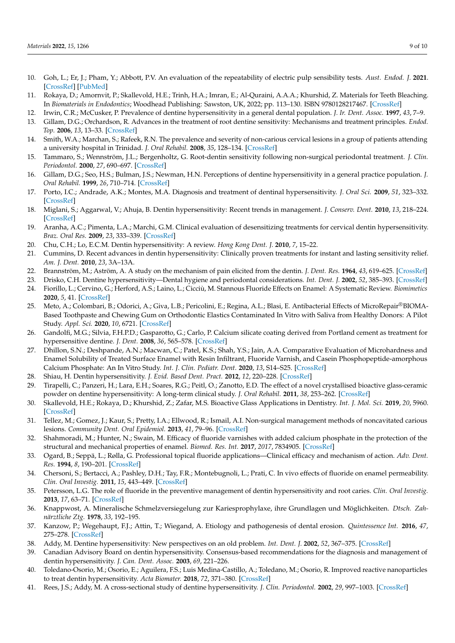- <span id="page-8-0"></span>10. Goh, L.; Er, J.; Pham, Y.; Abbott, P.V. An evaluation of the repeatability of electric pulp sensibility tests. *Aust. Endod. J.* **2021**. [\[CrossRef\]](http://doi.org/10.1111/aej.12552) [\[PubMed\]](http://www.ncbi.nlm.nih.gov/pubmed/34333842)
- <span id="page-8-1"></span>11. Rokaya, D.; Amornvit, P.; Skallevold, H.E.; Trinh, H.A.; Imran, E.; Al-Quraini, A.A.A.; Khurshid, Z. Materials for Teeth Bleaching. In *Biomaterials in Endodontics*; Woodhead Publishing: Sawston, UK, 2022; pp. 113–130. ISBN 9780128217467. [\[CrossRef\]](http://doi.org/10.1016/B978-0-12-821746-7.00009-7)
- <span id="page-8-2"></span>12. Irwin, C.R.; McCusker, P. Prevalence of dentine hypersensitivity in a general dental population. *J. Ir. Dent. Assoc.* **1997**, *43*, 7–9.
- 13. Gillam, D.G.; Orchardson, R. Advances in the treatment of root dentine sensitivity: Mechanisms and treatment principles. *Endod. Top.* **2006**, *13*, 13–33. [\[CrossRef\]](http://doi.org/10.1111/j.1601-1546.2006.00209.x)
- <span id="page-8-3"></span>14. Smith, W.A.; Marchan, S.; Rafeek, R.N. The prevalence and severity of non-carious cervical lesions in a group of patients attending a university hospital in Trinidad. *J. Oral Rehabil.* **2008**, *35*, 128–134. [\[CrossRef\]](http://doi.org/10.1111/j.1365-2842.2007.01763.x)
- <span id="page-8-4"></span>15. Tammaro, S.; Wennström, J.L.; Bergenholtz, G. Root-dentin sensitivity following non-surgical periodontal treatment. *J. Clin. Periodontol.* **2000**, *27*, 690–697. [\[CrossRef\]](http://doi.org/10.1034/j.1600-051x.2000.027009690.x)
- <span id="page-8-5"></span>16. Gillam, D.G.; Seo, H.S.; Bulman, J.S.; Newman, H.N. Perceptions of dentine hypersensitivity in a general practice population. *J. Oral Rehabil.* **1999**, *26*, 710–714. [\[CrossRef\]](http://doi.org/10.1046/j.1365-2842.1999.00436.x)
- <span id="page-8-7"></span>17. Porto, I.C.; Andrade, A.K.; Montes, M.A. Diagnosis and treatment of dentinal hypersensitivity. *J. Oral Sci.* **2009**, *51*, 323–332. [\[CrossRef\]](http://doi.org/10.2334/josnusd.51.323)
- 18. Miglani, S.; Aggarwal, V.; Ahuja, B. Dentin hypersensitivity: Recent trends in management. *J. Conserv. Dent.* **2010**, *13*, 218–224. [\[CrossRef\]](http://doi.org/10.4103/0972-0707.73385)
- <span id="page-8-8"></span>19. Aranha, A.C.; Pimenta, L.A.; Marchi, G.M. Clinical evaluation of desensitizing treatments for cervical dentin hypersensitivity. *Braz. Oral Res.* **2009**, *23*, 333–339. [\[CrossRef\]](http://doi.org/10.1590/S1806-83242009000300018)
- 20. Chu, C.H.; Lo, E.C.M. Dentin hypersensitivity: A review. *Hong Kong Dent. J.* **2010**, *7*, 15–22.
- <span id="page-8-6"></span>21. Cummins, D. Recent advances in dentin hypersensitivity: Clinically proven treatments for instant and lasting sensitivity relief. *Am. J. Dent.* **2010**, *23*, 3A–13A.
- <span id="page-8-9"></span>22. Brannström, M.; Aström, A. A study on the mechanism of pain elicited from the dentin. *J. Dent. Res.* **1964**, *43*, 619–625. [\[CrossRef\]](http://doi.org/10.1177/00220345640430041601)
- <span id="page-8-10"></span>23. Drisko, C.H. Dentine hypersensitivity—Dental hygiene and periodontal considerations. *Int. Dent. J.* **2002**, *52*, 385–393. [\[CrossRef\]](http://doi.org/10.1002/j.1875-595X.2002.tb00938.x)
- <span id="page-8-11"></span>24. Fiorillo, L.; Cervino, G.; Herford, A.S.; Laino, L.; Cicciù, M. Stannous Fluoride Effects on Enamel: A Systematic Review. *Biomimetics* **2020**, *5*, 41. [\[CrossRef\]](http://doi.org/10.3390/biomimetics5030041)
- 25. Meto, A.; Colombari, B.; Odorici, A.; Giva, L.B.; Pericolini, E.; Regina, A.L.; Blasi, E. Antibacterial Effects of MicroRepair®BIOMA-Based Toothpaste and Chewing Gum on Orthodontic Elastics Contaminated In Vitro with Saliva from Healthy Donors: A Pilot Study. *Appl. Sci.* **2020**, *10*, 6721. [\[CrossRef\]](http://doi.org/10.3390/app10196721)
- 26. Gandolfi, M.G.; Silvia, F.H.P.D.; Gasparotto, G.; Carlo, P. Calcium silicate coating derived from Portland cement as treatment for hypersensitive dentine. *J. Dent.* **2008**, *36*, 565–578. [\[CrossRef\]](http://doi.org/10.1016/j.jdent.2008.03.012)
- <span id="page-8-12"></span>27. Dhillon, S.N.; Deshpande, A.N.; Macwan, C.; Patel, K.S.; Shah, Y.S.; Jain, A.A. Comparative Evaluation of Microhardness and Enamel Solubility of Treated Surface Enamel with Resin Infiltrant, Fluoride Varnish, and Casein Phosphopeptide-amorphous Calcium Phosphate: An In Vitro Study. *Int. J. Clin. Pediatr. Dent.* **2020**, *13*, S14–S25. [\[CrossRef\]](http://doi.org/10.5005/jp-journals-10005-1833)
- <span id="page-8-13"></span>28. Shiau, H. Dentin hypersensitivity. *J. Evid. Based Dent. Pract.* **2012**, *12*, 220–228. [\[CrossRef\]](http://doi.org/10.1016/S1532-3382(12)70043-X)
- <span id="page-8-14"></span>29. Tirapelli, C.; Panzeri, H.; Lara, E.H.; Soares, R.G.; Peitl, O.; Zanotto, E.D. The effect of a novel crystallised bioactive glass-ceramic powder on dentine hypersensitivity: A long-term clinical study. *J. Oral Rehabil.* **2011**, *38*, 253–262. [\[CrossRef\]](http://doi.org/10.1111/j.1365-2842.2010.02157.x)
- <span id="page-8-15"></span>30. Skallevold, H.E.; Rokaya, D.; Khurshid, Z.; Zafar, M.S. Bioactive Glass Applications in Dentistry. *Int. J. Mol. Sci.* **2019**, *20*, 5960. [\[CrossRef\]](http://doi.org/10.3390/ijms20235960)
- <span id="page-8-16"></span>31. Tellez, M.; Gomez, J.; Kaur, S.; Pretty, I.A.; Ellwood, R.; Ismail, A.I. Non-surgical management methods of noncavitated carious lesions. *Community Dent. Oral Epidemiol.* **2013**, *41*, 79–96. [\[CrossRef\]](http://doi.org/10.1111/cdoe.12028)
- <span id="page-8-17"></span>32. Shahmoradi, M.; Hunter, N.; Swain, M. Efficacy of fluoride varnishes with added calcium phosphate in the protection of the structural and mechanical properties of enamel. *Biomed. Res. Int.* **2017**, *2017*, 7834905. [\[CrossRef\]](http://doi.org/10.1155/2017/7834905)
- <span id="page-8-18"></span>33. Ogard, B.; Seppä, L.; Rølla, G. Professional topical fluoride applications—Clinical efficacy and mechanism of action. *Adv. Dent. Res.* **1994**, *8*, 190–201. [\[CrossRef\]](http://doi.org/10.1177/08959374940080021001)
- 34. Chersoni, S.; Bertacci, A.; Pashley, D.H.; Tay, F.R.; Montebugnoli, L.; Prati, C. In vivo effects of fluoride on enamel permeability. *Clin. Oral Investig.* **2011**, *15*, 443–449. [\[CrossRef\]](http://doi.org/10.1007/s00784-010-0406-x)
- <span id="page-8-19"></span>35. Petersson, L.G. The role of fluoride in the preventive management of dentin hypersensitivity and root caries. *Clin. Oral Investig.* **2013**, *17*, 63–71. [\[CrossRef\]](http://doi.org/10.1007/s00784-012-0916-9)
- <span id="page-8-20"></span>36. Knappwost, A. Mineralische Schmelzversiegelung zur Kariesprophylaxe, ihre Grundlagen und Möglichkeiten. *Dtsch. Zahnärztliche Ztg.* **1978**, *33*, 192–195.
- <span id="page-8-21"></span>37. Kanzow, P.; Wegehaupt, F.J.; Attin, T.; Wiegand, A. Etiology and pathogenesis of dental erosion. *Quintessence Int.* **2016**, *47*, 275–278. [\[CrossRef\]](http://doi.org/10.3290/j.qi.a35625)
- <span id="page-8-22"></span>38. Addy, M. Dentine hypersensitivity: New perspectives on an old problem. *Int. Dent. J.* **2002**, *52*, 367–375. [\[CrossRef\]](http://doi.org/10.1002/j.1875-595X.2002.tb00936.x)
- 39. Canadian Advisory Board on dentin hypersensitivity. Consensus-based recommendations for the diagnosis and management of dentin hypersensitivity. *J. Can. Dent. Assoc.* **2003**, *69*, 221–226.
- <span id="page-8-23"></span>40. Toledano-Osorio, M.; Osorio, E.; Aguilera, F.S.; Luis Medina-Castillo, A.; Toledano, M.; Osorio, R. Improved reactive nanoparticles to treat dentin hypersensitivity. *Acta Biomater.* **2018**, *72*, 371–380. [\[CrossRef\]](http://doi.org/10.1016/j.actbio.2018.03.033)
- <span id="page-8-24"></span>41. Rees, J.S.; Addy, M. A cross-sectional study of dentine hypersensitivity. *J. Clin. Periodontol.* **2002**, *29*, 997–1003. [\[CrossRef\]](http://doi.org/10.1034/j.1600-051X.2002.291104.x)